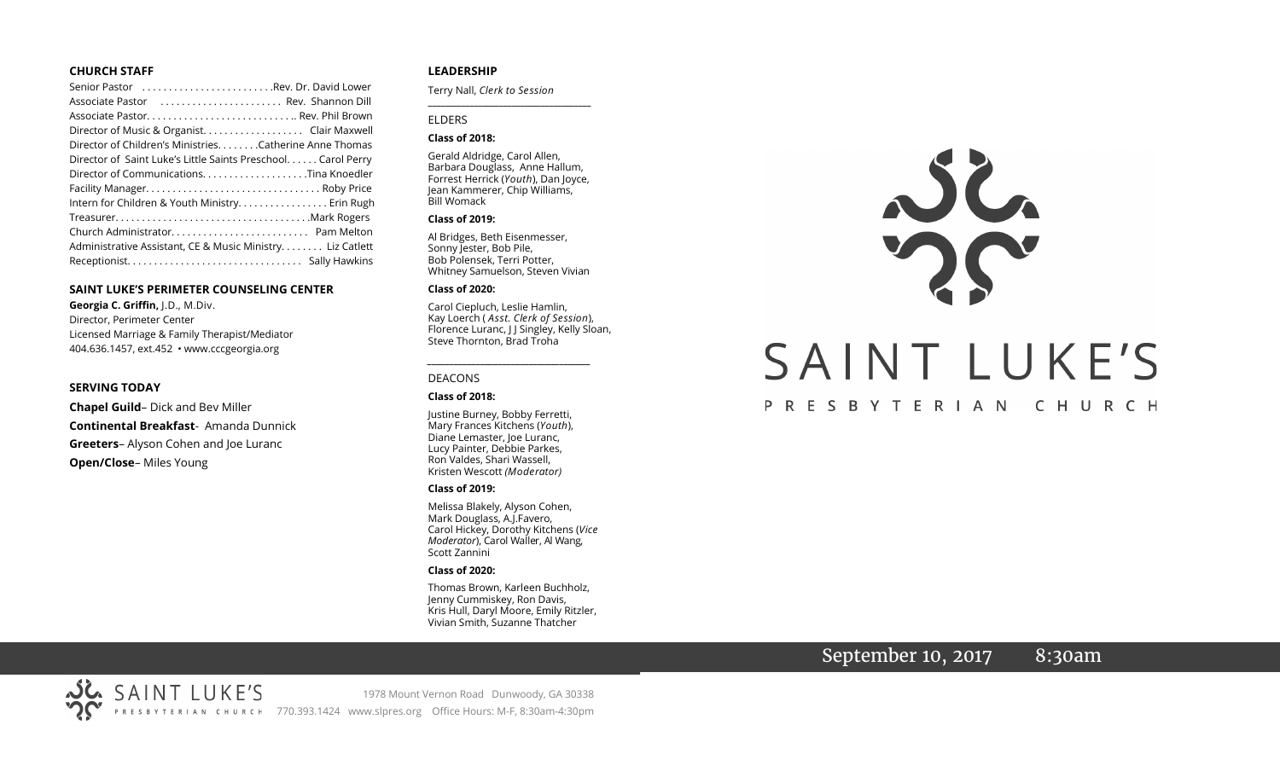#### **CHURCH STAFF**

| Senior Pastor Rev. Dr. David Lower                           |
|--------------------------------------------------------------|
| Associate Pastor (etc Rev. Shannon Dill                      |
|                                                              |
| Director of Music & Organist. Clair Maxwell                  |
| Director of Children's Ministries. Catherine Anne Thomas     |
| Director of Saint Luke's Little Saints Preschool Carol Perry |
| Director of CommunicationsTina Knoedler                      |
|                                                              |
| Intern for Children & Youth Ministry. Erin Rugh              |
|                                                              |
|                                                              |
| Administrative Assistant, CE & Music Ministry Liz Catlett    |
|                                                              |

#### **SAINT LUKE'S PERIMETER COUNSELING CENTER**

**Georgia C. Griffin,** J.D., M.Div. Director, Perimeter Center Licensed Marriage & Family Therapist/Mediator 404.636.1457, ext.452 • www.cccgeorgia.org

#### **SERVING TODAY**

**Chapel Guild**– Dick and Bev Miller **Continental Breakfast**- Amanda Dunnick **Greeters**– Alyson Cohen and Joe Luranc **Open/Close**– Miles Young

#### **LEADERSHIP**

Terry Nall, *Clerk to Session* 

#### ELDERS

#### **Class of 2018:**

Gerald Aldridge, Carol Allen, Barbara Douglass, Anne Hallum, Forrest Herrick (*Youth*), Dan Joyce, Jean Kammerer, Chip Williams, Bill Womack

**\_\_\_\_\_\_\_\_\_\_\_\_\_\_\_\_\_\_\_\_\_\_\_\_\_\_\_\_\_\_\_\_\_\_\_\_\_\_\_**

#### **Class of 2019:**

Al Bridges, Beth Eisenmesser, Sonny Jester, Bob Pile, Bob Polensek, Terri Potter, Whitney Samuelson, Steven Vivian

#### **Class of 2020:**

Carol Ciepluch, Leslie Hamlin, Kay Loerch ( *Asst. Clerk of Session*), Florence Luranc, J J Singley, Kelly Sloan, Steve Thornton, Brad Troha

*\_\_\_\_\_\_\_\_\_\_\_\_\_\_\_\_\_\_\_\_\_\_\_\_\_\_\_\_\_\_\_\_\_\_\_\_\_*

#### DEACONS

#### **Class of 2018:**

Justine Burney, Bobby Ferretti, Mary Frances Kitchens (*Youth*), Diane Lemaster, Joe Luranc, Lucy Painter, Debbie Parkes, Ron Valdes, Shari Wassell, Kristen Wescott *(Moderator)*

#### **Class of 2019:**

Melissa Blakely, Alyson Cohen, Mark Douglass, A.J.Favero, Carol Hickey, Dorothy Kitchens (*Vice Moderator*), Carol Waller, Al Wang, Scott Zannini

#### **Class of 2020:**

Thomas Brown, Karleen Buchholz, Jenny Cummiskey, Ron Davis, Kris Hull, Daryl Moore, Emily Ritzler, Vivian Smith, Suzanne Thatcher



## September 10, 2017 8:30am

SAINT LUKE'S 1978 Mount Vernon Road Dunwoody, GA 30338 PRESBYTERIAN CHURCH 770.393.1424 www.slpres.org Office Hours: M-F, 8:30am-4:30pm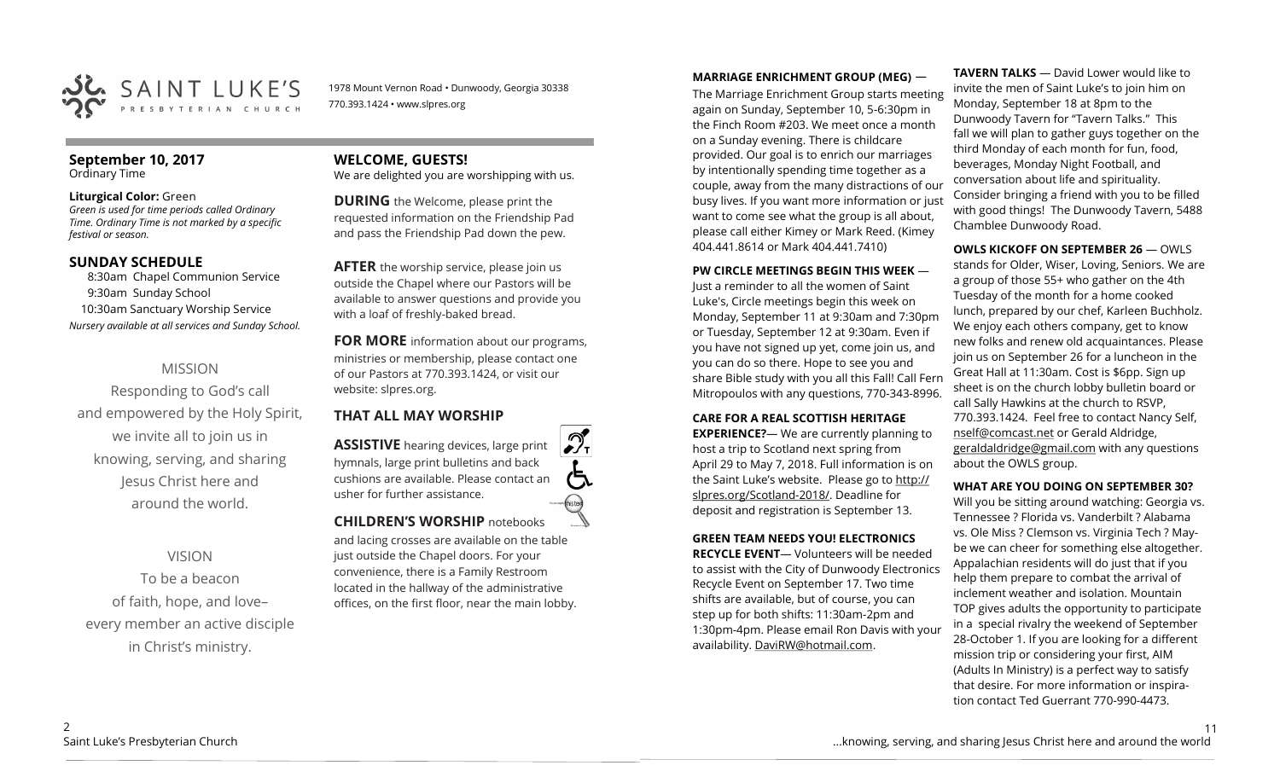

1978 Mount Vernon Road • Dunwoody, Georgia 30338 770.393.1424 • www.slpres.org

#### **September 10, 2017**  Ordinary Time

#### **Liturgical Color:** Green

*Green is used for time periods called Ordinary Time. Ordinary Time is not marked by a specific festival or season.* 

## **SUNDAY SCHEDULE**

8:30am Chapel Communion Service 9:30am Sunday School 10:30am Sanctuary Worship Service *Nursery available at all services and Sunday School.*

## MISSION

Responding to God's call and empowered by the Holy Spirit, we invite all to join us in knowing, serving, and sharing Jesus Christ here and around the world.

## VISION

To be a beacon of faith, hope, and love– every member an active disciple in Christ's ministry.

# **WELCOME, GUESTS!**

We are delighted you are worshipping with us.

**DURING** the Welcome, please print the requested information on the Friendship Pad and pass the Friendship Pad down the pew.

**AFTER** the worship service, please join us outside the Chapel where our Pastors will be available to answer questions and provide you with a loaf of freshly-baked bread.

**FOR MORE** information about our programs, ministries or membership, please contact one of our Pastors at 770.393.1424, or visit our website: slpres.org.

## **THAT ALL MAY WORSHIP**

**ASSISTIVE** hearing devices, large print hymnals, large print bulletins and back cushions are available. Please contact an usher for further assistance. thistext **CHILDREN'S WORSHIP** notebooks

and lacing crosses are available on the table just outside the Chapel doors. For your convenience, there is a Family Restroom located in the hallway of the administrative offices, on the first floor, near the main lobby.

## **MARRIAGE ENRICHMENT GROUP (MEG)** —

The Marriage Enrichment Group starts meeting again on Sunday, September 10, 5-6:30pm in the Finch Room #203. We meet once a month on a Sunday evening. There is childcare provided. Our goal is to enrich our marriages by intentionally spending time together as a couple, away from the many distractions of our busy lives. If you want more information or just want to come see what the group is all about, please call either Kimey or Mark Reed. (Kimey 404.441.8614 or Mark 404.441.7410)

## **PW CIRCLE MEETINGS BEGIN THIS WEEK** —

Just a reminder to all the women of Saint Luke's, Circle meetings begin this week on Monday, September 11 at 9:30am and 7:30pm or Tuesday, September 12 at 9:30am. Even if you have not signed up yet, come join us, and you can do so there. Hope to see you and share Bible study with you all this Fall! Call Fern Mitropoulos with any questions, 770-343-8996.

## **CARE FOR A REAL SCOTTISH HERITAGE**

**EXPERIENCE?**— We are currently planning to host a trip to Scotland next spring from April 29 to May 7, 2018. Full information is on the Saint Luke's website. Please go to http:// slpres.org/Scotland-2018/. Deadline for deposit and registration is September 13.

## **GREEN TEAM NEEDS YOU! ELECTRONICS**

**RECYCLE EVENT**— Volunteers will be needed to assist with the City of Dunwoody Electronics Recycle Event on September 17. Two time shifts are available, but of course, you can step up for both shifts: 11:30am-2pm and 1:30pm-4pm. Please email Ron Davis with your availability. DaviRW@hotmail.com.

**TAVERN TALKS** — David Lower would like to invite the men of Saint Luke's to join him on Monday, September 18 at 8pm to the Dunwoody Tavern for "Tavern Talks." This fall we will plan to gather guys together on the third Monday of each month for fun, food, beverages, Monday Night Football, and conversation about life and spirituality. Consider bringing a friend with you to be filled with good things! The Dunwoody Tavern, 5488 Chamblee Dunwoody Road.

## **OWLS KICKOFF ON SEPTEMBER 26** — OWLS

stands for Older, Wiser, Loving, Seniors. We are a group of those 55+ who gather on the 4th Tuesday of the month for a home cooked lunch, prepared by our chef, Karleen Buchholz. We enjoy each others company, get to know new folks and renew old acquaintances. Please join us on September 26 for a luncheon in the Great Hall at 11:30am. Cost is \$6pp. Sign up sheet is on the church lobby bulletin board or call Sally Hawkins at the church to RSVP, 770.393.1424. Feel free to contact Nancy Self, [nself@comcast.net](mailto:nself@comcast.net) or Gerald Aldridge, [geraldaldridge@gmail.com](mailto:geraldaldridge@gmail.com) with any questions about the OWLS group.

## **WHAT ARE YOU DOING ON SEPTEMBER 30?**

Will you be sitting around watching: Georgia vs. Tennessee ? Florida vs. Vanderbilt ? Alabama vs. Ole Miss ? Clemson vs. Virginia Tech ? Maybe we can cheer for something else altogether. Appalachian residents will do just that if you help them prepare to combat the arrival of inclement weather and isolation. Mountain TOP gives adults the opportunity to participate in a special rivalry the weekend of September 28-October 1. If you are looking for a different mission trip or considering your first, AIM (Adults In Ministry) is a perfect way to satisfy that desire. For more information or inspiration contact Ted Guerrant 770-990-4473.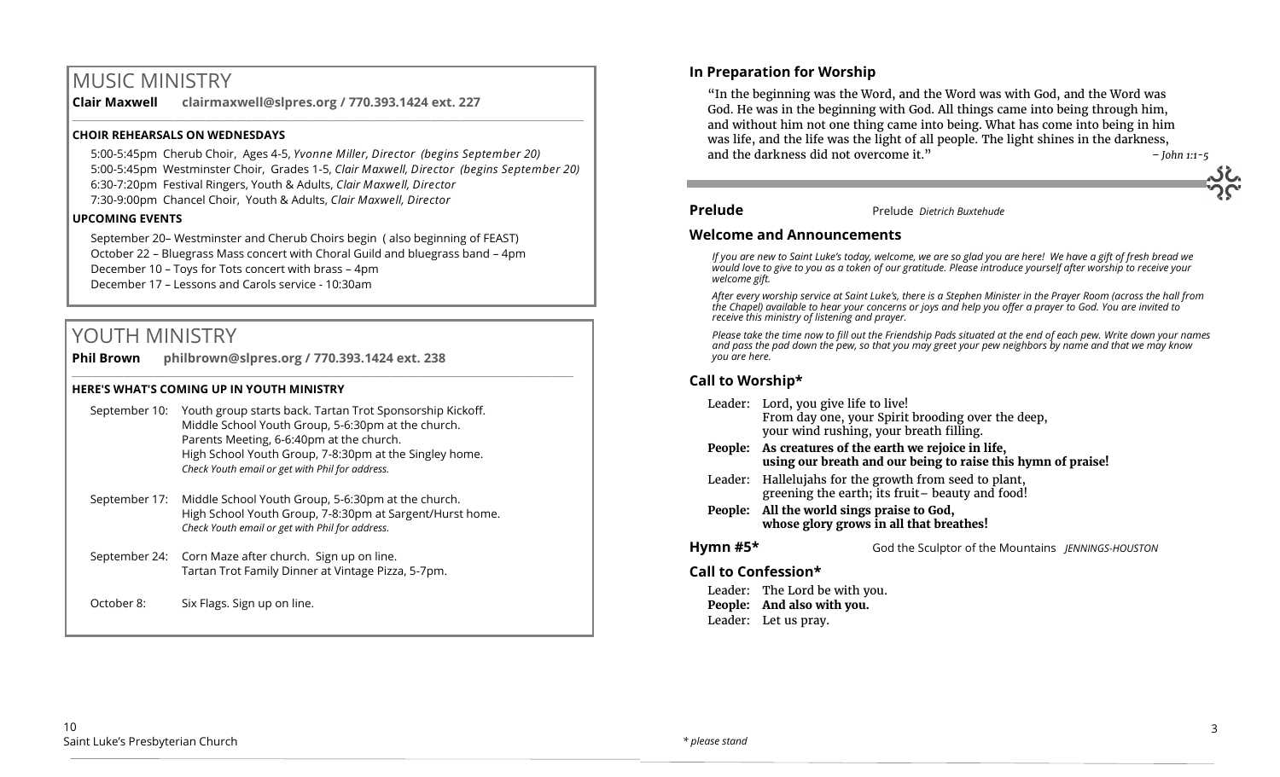# MUSIC MINISTRY

**Clair Maxwell clairmaxwell@slpres.org / 770.393.1424 ext. 227**  \_\_\_\_\_\_\_\_\_\_\_\_\_\_\_\_\_\_\_\_\_\_\_\_\_\_\_\_\_\_\_\_\_\_\_\_\_\_\_\_\_\_\_\_\_\_\_\_\_\_\_\_\_\_\_\_\_\_\_\_\_\_\_\_\_\_\_\_\_\_\_\_\_\_\_\_\_\_\_\_\_\_\_\_\_\_\_\_\_\_\_\_\_\_\_\_\_\_\_\_

## **CHOIR REHEARSALS ON WEDNESDAYS**

5:00-5:45pm Cherub Choir, Ages 4-5, *Yvonne Miller, Director (begins September 20)* 5:00-5:45pm Westminster Choir, Grades 1-5, *Clair Maxwell, Director (begins September 20)* 6:30-7:20pm Festival Ringers, Youth & Adults, *Clair Maxwell, Director*  7:30-9:00pm Chancel Choir, Youth & Adults, *Clair Maxwell, Director* 

### **UPCOMING EVENTS**

September 20– Westminster and Cherub Choirs begin ( also beginning of FEAST) October 22 – Bluegrass Mass concert with Choral Guild and bluegrass band – 4pm December 10 – Toys for Tots concert with brass – 4pm December 17 – Lessons and Carols service - 10:30am

 $\_$  ,  $\_$  ,  $\_$  ,  $\_$  ,  $\_$  ,  $\_$  ,  $\_$  ,  $\_$  ,  $\_$  ,  $\_$  ,  $\_$  ,  $\_$  ,  $\_$  ,  $\_$  ,  $\_$  ,  $\_$  ,  $\_$  ,  $\_$  ,  $\_$  ,  $\_$ 

# YOUTH MINISTRY

**Phil Brown philbrown@slpres.org / 770.393.1424 ext. 238** 

### **HERE'S WHAT'S COMING UP IN YOUTH MINISTRY**

- September 10: Youth group starts back. Tartan Trot Sponsorship Kickoff. Middle School Youth Group, 5-6:30pm at the church. Parents Meeting, 6-6:40pm at the church. High School Youth Group, 7-8:30pm at the Singley home. *Check Youth email or get with Phil for address.*
- September 17: Middle School Youth Group, 5-6:30pm at the church. High School Youth Group, 7-8:30pm at Sargent/Hurst home. *Check Youth email or get with Phil for address.*
- September 24: Corn Maze after church. Sign up on line. Tartan Trot Family Dinner at Vintage Pizza, 5-7pm.
- October 8: Six Flags. Sign up on line.

## **In Preparation for Worship**

"In the beginning was the Word, and the Word was with God, and the Word was God. He was in the beginning with God. All things came into being through him, and without him not one thing came into being. What has come into being in him was life, and the life was the light of all people. The light shines in the darkness, and the darkness did not overcome it." *– John 1:1-5*

### **Prelude** Prelude *Dietrich Buxtehude*

## **Welcome and Announcements**

*If you are new to Saint Luke's today, welcome, we are so glad you are here! We have a gift of fresh bread we would love to give to you as a token of our gratitude. Please introduce yourself after worship to receive your welcome gift.*

*After every worship service at Saint Luke's, there is a Stephen Minister in the Prayer Room (across the hall from the Chapel) available to hear your concerns or joys and help you offer a prayer to God. You are invited to receive this ministry of listening and prayer.*

*Please take the time now to fill out the Friendship Pads situated at the end of each pew. Write down your names and pass the pad down the pew, so that you may greet your pew neighbors by name and that we may know you are here.*

## **Call to Worship\***

- Leader: Lord, you give life to live! From day one, your Spirit brooding over the deep, your wind rushing, your breath filling. **People: As creatures of the earth we rejoice in life, using our breath and our being to raise this hymn of praise!** Leader: Hallelujahs for the growth from seed to plant, greening the earth; its fruit– beauty and food!
- **People: All the world sings praise to God, whose glory grows in all that breathes!**
- **Hymn #5\*** God the Sculptor of the Mountains *JENNINGS-HOUSTON*

## **Call to Confession\***

Leader: The Lord be with you. **People: And also with you.** Leader: Let us pray.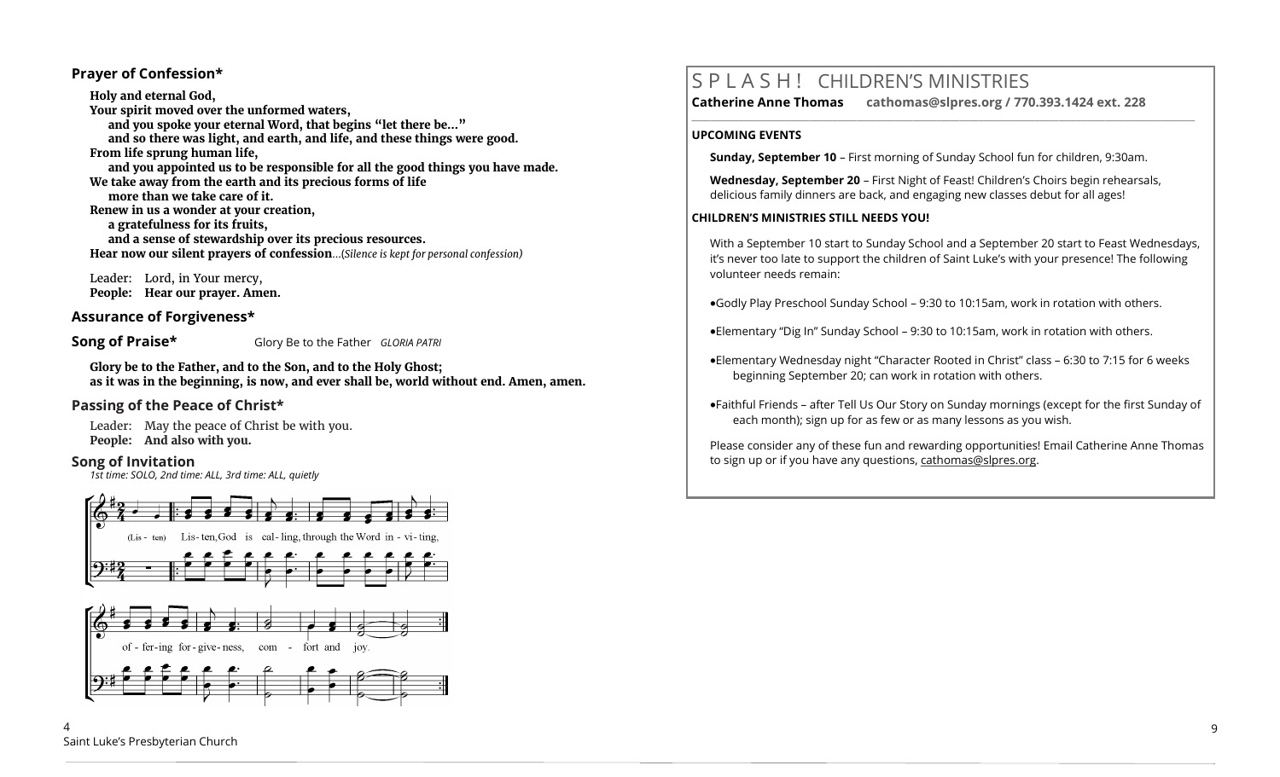## **Prayer of Confession\***

**Holy and eternal God, Your spirit moved over the unformed waters, and you spoke your eternal Word, that begins "let there be…" and so there was light, and earth, and life, and these things were good. From life sprung human life, and you appointed us to be responsible for all the good things you have made. We take away from the earth and its precious forms of life more than we take care of it. Renew in us a wonder at your creation, a gratefulness for its fruits, and a sense of stewardship over its precious resources. Hear now our silent prayers of confession**...(*Silence is kept for personal confession)* 

Leader: Lord, in Your mercy, **People: Hear our prayer. Amen.**

## **Assurance of Forgiveness\***

**Song of Praise\*** Glory Be to the Father *GLORIA PATRI* 

**Glory be to the Father, and to the Son, and to the Holy Ghost; as it was in the beginning, is now, and ever shall be, world without end. Amen, amen.**

## **Passing of the Peace of Christ\***

Leader: May the peace of Christ be with you. **People: And also with you.**

## **Song of Invitation**

*1st time: SOLO, 2nd time: ALL, 3rd time: ALL, quietly*



# S P L A S H ! CHILDREN'S MINISTRIES

**\_\_\_\_\_\_\_\_\_\_\_\_\_\_\_\_\_\_\_\_\_\_\_\_\_\_\_\_\_\_\_\_\_\_\_\_\_\_\_\_\_\_\_\_\_\_\_\_\_\_\_\_\_\_\_\_\_\_\_\_\_\_\_\_\_\_\_\_\_\_\_\_\_\_\_\_\_\_\_\_\_\_\_\_\_\_\_\_\_\_\_\_\_\_\_\_\_\_\_\_\_\_\_\_\_\_\_** 

**Catherine Anne Thomas cathomas@slpres.org / 770.393.1424 ext. 228** 

#### **UPCOMING EVENTS**

**Sunday, September 10** – First morning of Sunday School fun for children, 9:30am.

**Wednesday, September 20** – First Night of Feast! Children's Choirs begin rehearsals, delicious family dinners are back, and engaging new classes debut for all ages!

### **CHILDREN'S MINISTRIES STILL NEEDS YOU!**

With a September 10 start to Sunday School and a September 20 start to Feast Wednesdays, it's never too late to support the children of Saint Luke's with your presence! The following volunteer needs remain:

Godly Play Preschool Sunday School – 9:30 to 10:15am, work in rotation with others.

Elementary "Dig In" Sunday School – 9:30 to 10:15am, work in rotation with others.

- Elementary Wednesday night "Character Rooted in Christ" class 6:30 to 7:15 for 6 weeks beginning September 20; can work in rotation with others.
- Faithful Friends after Tell Us Our Story on Sunday mornings (except for the first Sunday of each month); sign up for as few or as many lessons as you wish.

Please consider any of these fun and rewarding opportunities! Email Catherine Anne Thomas to sign up or if you have any questions, cathomas@slpres.org.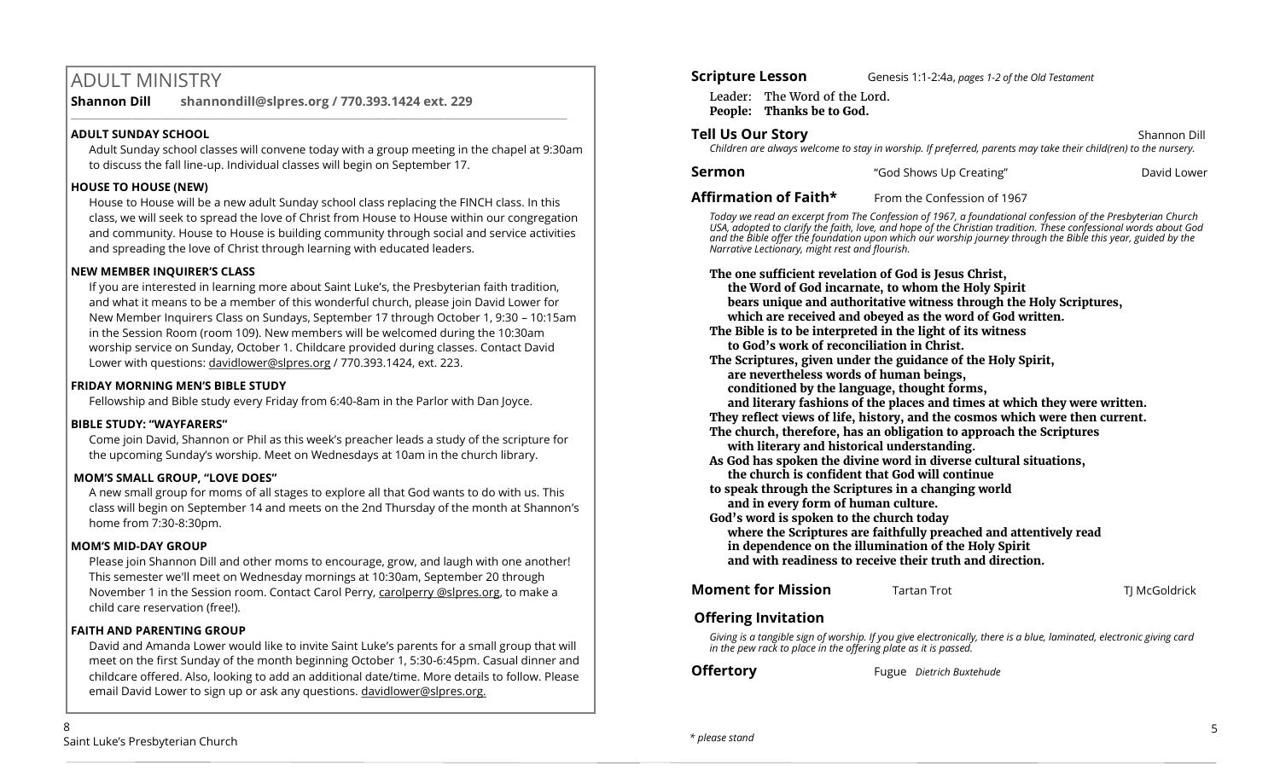# ADULT MINISTRY

**Shannon Dill shannondill@slpres.org / 770.393.1424 ext. 229** 

## **ADULT SUNDAY SCHOOL**

Adult Sunday school classes will convene today with a group meeting in the chapel at 9:30am to discuss the fall line-up. Individual classes will begin on September 17.

 $\_$  ,  $\_$  ,  $\_$  ,  $\_$  ,  $\_$  ,  $\_$  ,  $\_$  ,  $\_$  ,  $\_$  ,  $\_$  ,  $\_$  ,  $\_$  ,  $\_$  ,  $\_$  ,  $\_$  ,  $\_$  ,  $\_$  ,  $\_$  ,  $\_$ 

## **HOUSE TO HOUSE (NEW)**

House to House will be a new adult Sunday school class replacing the FINCH class. In this class, we will seek to spread the love of Christ from House to House within our congregation and community. House to House is building community through social and service activities and spreading the love of Christ through learning with educated leaders.

## **NEW MEMBER INQUIRER'S CLASS**

If you are interested in learning more about Saint Luke's, the Presbyterian faith tradition, and what it means to be a member of this wonderful church, please join David Lower for New Member Inquirers Class on Sundays, September 17 through October 1, 9:30 – 10:15am in the Session Room (room 109). New members will be welcomed during the 10:30am worship service on Sunday, October 1. Childcare provided during classes. Contact David Lower with questions: [davidlower@slpres.org](mailto:davidlower@slpres.org) / 770.393.1424, ext. 223.

## **FRIDAY MORNING MEN'S BIBLE STUDY**

Fellowship and Bible study every Friday from 6:40-8am in the Parlor with Dan Joyce.

## **BIBLE STUDY: "WAYFARERS"**

Come join David, Shannon or Phil as this week's preacher leads a study of the scripture for the upcoming Sunday's worship. Meet on Wednesdays at 10am in the church library.

## **MOM'S SMALL GROUP, "LOVE DOES"**

A new small group for moms of all stages to explore all that God wants to do with us. This class will begin on September 14 and meets on the 2nd Thursday of the month at Shannon's home from 7:30-8:30pm.

## **MOM'S MID-DAY GROUP**

Please join Shannon Dill and other moms to encourage, grow, and laugh with one another! This semester we'll meet on Wednesday mornings at 10:30am, September 20 through November 1 in the Session room. Contact Carol Perry, carolperry @slpres.org, to make a child care reservation (free!).

## **FAITH AND PARENTING GROUP**

David and Amanda Lower would like to invite Saint Luke's parents for a small group that will meet on the first Sunday of the month beginning October 1, 5:30-6:45pm. Casual dinner and childcare offered. Also, looking to add an additional date/time. More details to follow. Please email David Lower to sign up or ask any questions. davidlower@slpres.org.

Leader: The Word of the Lord. **People: Thanks be to God.**

**Tell Us Our Story Shannon Dill Contract Contract Contract Contract Contract Contract Contract Contract Contract Contract Contract Contract Contract Contract Contract Contract Contract Contract Contract Contract Contra** 

*Children are always welcome to stay in worship. If preferred, parents may take their child(ren) to the nursery.*

| Sermon | "God Shows Up Creating" | David Lower |
|--------|-------------------------|-------------|
|--------|-------------------------|-------------|

**Affirmation of Faith\*** From the Confession of 1967

*Today we read an excerpt from The Confession of 1967, a foundational confession of the Presbyterian Church USA, adopted to clarify the faith, love, and hope of the Christian tradition. These confessional words about God and the Bible offer the foundation upon which our worship journey through the Bible this year, guided by the Narrative Lectionary, might rest and flourish.*

**The one sufficient revelation of God is Jesus Christ,** 

**the Word of God incarnate, to whom the Holy Spirit** 

**bears unique and authoritative witness through the Holy Scriptures,**

**which are received and obeyed as the word of God written.**

**The Bible is to be interpreted in the light of its witness to God's work of reconciliation in Christ.**

**The Scriptures, given under the guidance of the Holy Spirit,**

**are nevertheless words of human beings,**

**conditioned by the language, thought forms,** 

**and literary fashions of the places and times at which they were written.**

**They reflect views of life, history, and the cosmos which were then current. The church, therefore, has an obligation to approach the Scriptures** 

**with literary and historical understanding.** 

**As God has spoken the divine word in diverse cultural situations, the church is confident that God will continue** 

**to speak through the Scriptures in a changing world and in every form of human culture.**

**God's word is spoken to the church today where the Scriptures are faithfully preached and attentively read in dependence on the illumination of the Holy Spirit and with readiness to receive their truth and direction.**

## **Moment for Mission** Tartan Trot **Transform Transform T**J McGoldrick

## **Offering Invitation**

*Giving is a tangible sign of worship. If you give electronically, there is a blue, laminated, electronic giving card in the pew rack to place in the offering plate as it is passed.*

**Offertory** Fugue *Dietrich Buxtehude*